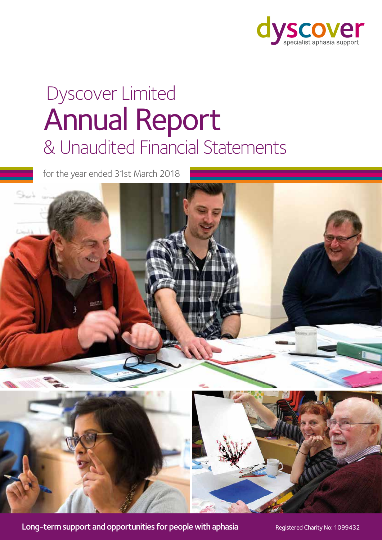

# & Unaudited Financial Statements Annual Report Dyscover Limited

for the year ended 31st March 2018



Long-term support and opportunities for people with aphasia Registered Charity No: 1099432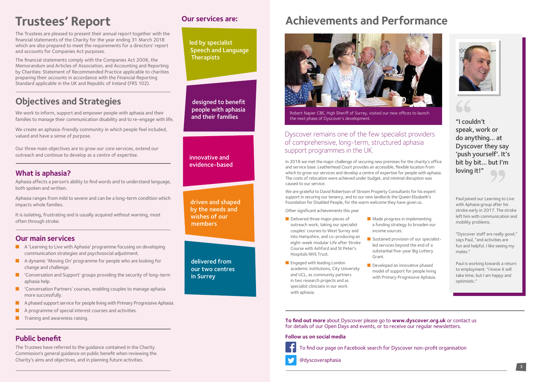**To find out more** about Dyscover please go to **www.dyscover.org.uk** or contact us for details of our Open Days and events, or to receive our regular newsletters.

### **Follow us on social media**





@dyscoveraphasia





The Trustees are pleased to present their annual report together with the financial statements of the Charity for the year ending 31 March 2018 which are also prepared to meet the requirements for a directors' report and accounts for Companies Act purposes.

We work to inform, support and empower people with aphasia and their families to manage their communication disability and to re-engage with life.

The financial statements comply with the Companies Act 2006, the Memorandum and Articles of Association, and Accounting and Reporting by Charities: Statement of Recommended Practice applicable to charities preparing their accounts in accordance with the Financial Reporting Standard applicable in the UK and Republic of Ireland (FRS 102).

# **Objectives and Strategies**

We create an aphasia-friendly community in which people feel included, valued and have a sense of purpose.

Our three main objectives are to grow our core services, extend our outreach and continue to develop as a centre of expertise.

# **What is aphasia?**

Aphasia affects a person's ability to find words and to understand language, both spoken and written.

Aphasia ranges from mild to severe and can be a long-term condition which impacts whole families.

It is isolating, frustrating and is usually acquired without warning, most often through stroke.

# **Our main services**

- $\blacksquare$  A 'Learning to Live with Aphasia' programme focusing on developing communication strategies and psychosocial adjustment.
- **n** A dynamic 'Moving On' programme for people who are looking for change and challenge.
- $\blacksquare$  'Conversation and Support' groups providing the security of long-term aphasia help.
- **n** 'Conversation Partners' courses, enabling couples to manage aphasia more successfully.
- $\blacksquare$  A phased support service for people living with Primary Progressive Aphasia.
- A programme of special interest courses and activities.
- $\blacksquare$  Training and awareness raising.
- Delivered three major pieces of outreach work, taking our specialist couples' courses to West Surrey and into Hampshire, and co-producing an eight-week modular Life after Stroke Course with Ashford and St Peter's Hospitals NHS Trust.
- **n** Engaged with leading London academic institutions, City University and UCL, as community partners in two research projects and as specialist clinicians in our work with aphasia.
- $\blacksquare$  Made progress in implementing a funding strategy to broaden our income sources.
- **n** Sustained provision of our specialistled services beyond the end of a substantial five-year Big Lottery Grant.
- $\blacksquare$  Developed an innovative phased model of support for people living with Primary Progressive Aphasia.

led by specialist Speech and Language **Therapists** 

> Robert Napier CBE, High Sheriff of Surrey, visited our new offices to launch the next phase of Dyscover's development.

# **Public benefit**

The Trustees have referred to the guidance contained in the Charity Commission's general guidance on public benefit when reviewing the Charity's aims and objectives, and in planning future activities.

"I couldn't speak, work or do anything… at Dyscover they say 'push yourself'. It's bit by bit… but I'm loving it!"

In 2018 we met the major challenge of securing new premises for the charity's office and service base. Leatherhead Court provides an accessible, flexible location from which to grow our services and develop a centre of expertise for people with aphasia. The costs of relocation were achieved under budget, and minimal disruption was caused to our service.

We are grateful to David Robertson of Stream Property Consultants for his expert support in securing our tenancy, and to our new landlords the Queen Elizabeth's Foundation for Disabled People, for the warm welcome they have given us.

Other significant achievements this year

# Dyscover remains one of the few specialist providers of comprehensive, long-term, structured aphasia support programmes in the UK.

driven and shaped by the needs and wishes of our members

innovative and evidence-based

designed to benefit people with aphasia and their families

delivered from our two centres in Surrey

# **Trustees' Report** Dur services are: Achievements and Performance



# **Our services are:**

Paul joined our Learning to Live with Aphasia group after his stroke early in 2017. The stroke left him with communication and mobility problems.

"Dyscover staff are really good," says Paul, "and activities are fun and helpful. I like seeing my mates."

Paul is working towards a return to employment. "I know it will take time, but I am happy and optimistic."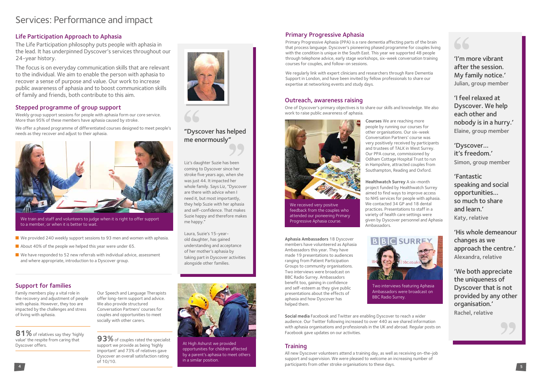# Outreach, awareness raising

One of Dyscover's primary objectives is to share our skills and knowledge. We also work to raise public awareness of aphasia.

> **Courses** We are reaching more people by running our courses for other organisations. Our six-week Conversation Partners' course was very positively received by participants and trustees of TALK in West Surrey. Our PPA course, commissioned by Odiham Cottage Hospital Trust to run in Hampshire, attracted couples from Southampton, Reading and Oxford.

**Healthwatch Surrey** A six-month project funded by Healthwatch Surrey aimed to find ways to improve access to NHS services for people with aphasia. We contacted 34 GP and 18 dental practices. Presentations to staff in a variety of health care settings were given by Dyscover personnel and Aphasia

Ambassadors.

**4 participants from other stroke organisations to these days. 5** All new Dyscover volunteers attend a training day, as well as receiving on-the-job support and supervision. We were pleased to welcome an increasing number of





**Aphasia Ambassadors** 18 Dyscover members have volunteered as Aphasia Ambassadors this year. They have made 19 presentations to audiences ranging from Patient Participation Groups to community organisations. Two interviews were broadcast on BBC Radio Surrey. Ambassadors benefit too, gaining in confidence and self-esteem as they give public presentations about the effects of aphasia and how Dyscover has helped them.

81% of relatives say they 'highly value' the respite from caring that Dyscover offers.

**Social media** Facebook and Twitter are enabling Dyscover to reach a wider audience. Our Twitter following increased to over 440 as we shared information with aphasia organisations and professionals in the UK and abroad. Regular posts on Facebook gave updates on our activities.

# **Training**

**93%** of couples rated the specialist support we provide as being 'highly important' and 73% of relatives gave Dyscover an overall satisfaction rating of 10/10.

We train and staff and volunteers to judge when it is right to offer support to a member, or when it is better to wait.

# Life Participation Approach to Aphasia

The Life Participation philosophy puts people with aphasia in the lead. It has underpinned Dyscover's services throughout our 24-year history.

- We provided 240 weekly support sessions to 93 men and women with aphasia.
- $\blacksquare$  About 40% of the people we helped this year were under 65.
- $\blacksquare$  We have responded to 52 new referrals with individual advice, assessment and where appropriate, introduction to a Dyscover group.

The focus is on everyday communication skills that are relevant to the individual. We aim to enable the person with aphasia to recover a sense of purpose and value. Our work to increase public awareness of aphasia and to boost communication skills of family and friends, both contribute to this aim.



Family members play a vital role in the recovery and adjustment of people with aphasia. However, they too are impacted by the challenges and stress of living with aphasia.

Our Speech and Language Therapists offer long-term support and advice. We also provide structured Conversation Partners' courses for couples and opportunities to meet socially with other carers.

# Stepped programme of group support

Weekly group support sessions for people with aphasia form our core service. More than 95% of these members have aphasia caused by stroke.

We offer a phased programme of differentiated courses designed to meet people's needs as they recover and adjust to their aphasia.



# Primary Progressive Aphasia

Primary Progressive Aphasia (PPA) is a rare dementia affecting parts of the brain that process language. Dyscover's pioneering phased programme for couples living with the condition is unique in the South East. This year we supported 48 people through telephone advice, early stage workshops, six-week conversation training courses for couples, and follow-on sessions.

We regularly link with expert clinicians and researchers through Rare Dementia Support in London, and have been invited by fellow professionals to share our expertise at networking events and study days.

Liz's daughter Suzie has been coming to Dyscover since her stroke five years ago, when she was just 44. It impacted her whole family. Says Liz, "Dyscover are there with advice when I need it, but most importantly, they help Suzie with her aphasia and self-confidence. That makes Suzie happy and therefore makes me happy."

Laura, Suzie's 15-yearold daughter, has gained understanding and acceptance of her mother's aphasia by taking part in Dyscover activities alongside other families.

# "Dyscover has helped me enormously"



At High Ashurst we provided opportunities for children affected by a parent's aphasia to meet others in a similar position.

Two interviews featuring Aphasia

# 66



Ambassadors were broadcast on BBC Radio Surrey.

'I'm more vibrant after the session. My family notice.' Julian, group member

'I feel relaxed at Dyscover. We help each other and nobody is in a hurry.' Elaine, group member

'Dyscover… it's freedom.' Simon, group member

'Fantastic speaking and social opportunities… so much to share and learn.' Katy, relative

'His whole demeanour changes as we approach the centre.' Alexandra, relative

'We both appreciate the uniqueness of Dyscover that is not provided by any other organisation.' Rachel, relative



We received very positive feedback from the couples who attended our pioneering Primary Progressive Aphasia course.

# Services: Performance and impact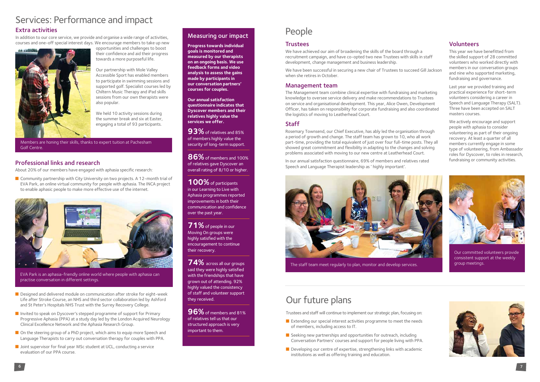# Our future plans

# Extra activities

In addition to our core service, we provide and organise a wide range of activities, courses and one-off special interest days. We encourage members to take up new



opportunities and challenges to boost their confidence and aid their progress towards a more purposeful life.

Our partnership with Mole Valley Accessible Sport has enabled members to participate in swimming sessions and supported golf. Specialist courses led by Chiltern Music Therapy and iPad skills sessions from our own therapists were also popular.

> **93%** of relatives and 85% of members highly value the security of long-term support.

We held 10 activity sessions during the summer break and six at Easter, engaging a total of 93 participants.

# Measuring our impact

**Progress towards individual goals is monitored and measured by our therapists on an ongoing basis. We use feedback forms and video analysis to assess the gains made by participants in our conversation partners' courses for couples.** 

**96%** of members and 81% of relatives tell us that our structured approach is very important to them.

**Our annual satisfaction questionnaire indicates that Dyscover members and their relatives highly value the services we offer.** 

- $\blacksquare$  Extending our special interest activities programme to meet the needs of members, including access to IT.
- $\blacksquare$  Seeking new partnerships and opportunities for outreach, including Conversation Partners' courses and support for people living with PPA.
- $\blacksquare$  Developing our centre of expertise, strengthening links with academic institutions as well as offering training and education.

**86%** of members and 100% of relatives gave Dyscover an overall rating of 8/10 or higher.

**100%** of participants in our Learning to Live with Aphasia programmes reported improvements in both their communication and confidence over the past year.

■ Community partnership with City University on two projects. A 12-month trial of EVA Park, an online virtual community for people with aphasia. The INCA project to enable aphasic people to make more effective use of the internet.



**71%** of people in our Moving On groups were highly satisfied with the encouragement to continue their recovery.

**74%** across all our groups said they were highly satisfied with the friendships that have grown out of attending. 92% highly valued the consistency of staff and volunteer support they received.

- **n** Designed and delivered module on communication after stroke for eight-week Life after Stroke Course, an NHS and third sector collaboration led by Ashford and St Peter's Hospitals NHS Trust with the Surrey Recovery College.
- Invited to speak on Dyscover's stepped programme of support for Primary Progressive Aphasia (PPA) at a study day led by the London Acquired Neurology Clinical Excellence Network and the Aphasia Research Group.
- $\Box$  On the steering group of a PhD project, which aims to equip more Speech and Language Therapists to carry out conversation therapy for couples with PPA.
- **n** Joint supervisor for final year MSc student at UCL, conducting a service evaluation of our PPA course.

Trustees and staff will continue to implement our strategic plan, focusing on:

The staff team meet regularly to plan, monitor and develop services.

# Professional links and research

About 20% of our members have engaged with aphasia specific research:

# People

## **Trustees**

EVA Park is an aphasia-friendly online world where people with aphasia can practise conversation in different settings.

## Volunteers

This year we have benefitted from the skilled support of 28 committed volunteers who worked directly with members in our conversation groups and nine who supported marketing, fundraising and governance.

Last year we provided training and practical experience for short-term volunteers considering a career in Speech and Language Therapy (SALT). Three have been accepted on SALT masters courses.

We actively encourage and support people with aphasia to consider volunteering as part of their ongoing recovery. At least a quarter of all members currently engage in some type of volunteering, from Ambassador roles for Dyscover, to roles in research, fundraising or community activities.

We have achieved our aim of broadening the skills of the board through a recruitment campaign, and have co-opted two new Trustees with skills in staff development, change management and business leadership.

We have been successful in securing a new chair of Trustees to succeed Gill Jackson when she retires in October.

# Management team

The Management team combine clinical expertise with fundraising and marketing knowledge to oversee service delivery and make recommendations to Trustees on service and organisational development. This year, Alice Owen, Development Officer, has taken on responsibility for corporate fundraising and also coordinated the logistics of moving to Leatherhead Court.

# **Staff**

Rosemary Townsend, our Chief Executive, has ably led the organisation through a period of growth and change. The staff team has grown to 10, who all work part-time, providing the total equivalent of just over four full-time posts. They all showed great commitment and flexibility in adapting to the changes and solving problems associated with moving to our new centre at Leatherhead Court.

In our annual satisfaction questionnaire, 69% of members and relatives rated Speech and Language Therapist leadership as ' highly important'.





Our committed volunteers provide consistent support at the weekly group meetings.



Members are honing their skills, thanks to expert tuition at Pachesham Golf Centre.

# Services: Performance and impact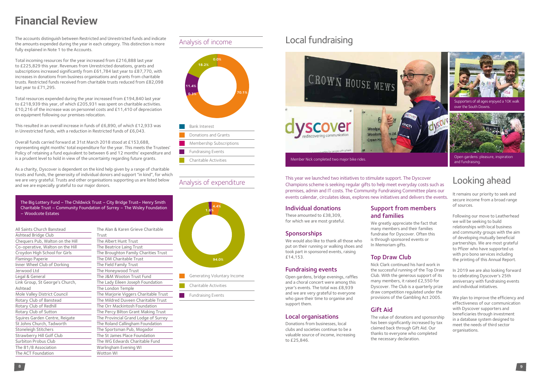# **Financial Review**

The accounts distinguish between Restricted and Unrestricted funds and indicate the amounts expended during the year in each category. This distinction is more fully explained in Note 1 to the Accounts.

Total incoming resources for the year increased from £216,888 last year to £225,829 this year. Revenues from Unrestricted donations, grants and subscriptions increased significantly from £61,784 last year to £87,770, with increases in donations from business organisations and grants from charitable trusts. Restricted funds received from charitable trusts reduced from £82,098 last year to £71,295.

Total resources expended during the year increased from £194,840 last year to £218,939 this year, of which £205,931 was spent on charitable activities. £10,216 of the increase was on personnel costs and £11,410 of depreciation on equipment following our premises relocation.

This resulted in an overall increase in funds of £6,890, of which £12,933 was in Unrestricted funds, with a reduction in Restricted funds of £6,043.

Overall funds carried forward at 31st March 2018 stood at £153,688, representing eight months' total expenditure for the year. This meets the Trustees' Policy of retaining a fund equivalent to between 6 and 12 months' expenditure and is a prudent level to hold in view of the uncertainty regarding future grants.

As a charity, Dyscover is dependent on the kind help given by a range of charitable trusts and funds, the generosity of individual donors and support "in kind", for which we are very grateful. Trusts and other organisations supporting us are listed below and we are especially grateful to our major donors.

This year we launched two initiatives to stimulate support. The Dyscover Champions scheme is seeking regular gifts to help meet everyday costs such as premises, admin and IT costs. The Community Fundraising Committee plans our events calendar, circulates ideas, explores new initiatives and delivers the events.

### Individual donations

These amounted to £38,309, for which we are most grateful.

# **Sponsorships**

We would also like to thank all those who put on their running or walking shoes and took part in sponsored events, raising £14,153.

### Fundraising events

Open gardens, bridge evenings, raffles and a choral concert were among this year's events. The total was £8,939 and we are very grateful to everyone who gave their time to organise and support them.

## Local organisations

Donations from businesses, local clubs and societies continue to be a valuable source of income, increasing to £25,846.

# Support from members and families

We greatly appreciate the fact that many members and their families fundraise for Dyscover. Often this is through sponsored events or In Memoriam gifts.

# Top Draw Club

Nick Clark continued his hard work in the successful running of the Top Draw Club. With the generous support of its many members, it raised £2,550 for Dyscover. The Club is a quarterly prize draw competition regulated under the provisions of the Gambling Act 2005.

# Gift Aid

The value of donations and sponsorship has been significantly increased by tax claimed back through Gift Aid. Our thanks to everyone who completed the necessary declaration.

**0.3%**

**18.2%**

**11.4%**

**70.1%**

**0.0%**

Bank Interest

Donations and Grants

Membership Subscriptions

Fundraising Events Charitable Activities



Fundraising Events

# Analysis of income<br> **Local fundraising**

The Big Lottery Fund – The Childwick Trust – City Bridge Trust– Henry Smith Charitable Trust – Community Foundation of Surrey – The Wisley Foundation – Woodcote Estates

| All Saints Church Banstead       | Τŀ |
|----------------------------------|----|
| Ashtead Bridge Club              | Tr |
| Chequers Pub, Walton on the Hill | Τŀ |
| Co-operative, Walton on the Hill | Tŀ |
| Croydon High School for Girls    | Τŀ |
| Flamingo Paperie                 | Tŀ |
| Inner Wheel Club of Dorking      | Tŀ |
| Jerwood Ltd                      | Tŀ |
| Legal & General                  | Tŀ |
| Link Group, St George's Church,  | Tŀ |
| Ashtead                          | Τŀ |
| Mole Valley District Council     | Tŀ |
| Rotary Club of Banstead          | Tŀ |
| Rotary Club of Redhill           | Tŀ |
| Rotary Club of Sutton            | Tŀ |
| Squires Garden Centre, Reigate   | Tŀ |
| St Johns Church, Tadworth        | Tŀ |
| Stoneleigh Stitchers             | Tŀ |
| <b>Strawberry Hill Golf Club</b> | Tŀ |
| Surbiton Probus Club             | Tŀ |
| The 81/8 Association             | W  |
| The ACT Foundation               | W  |

ne Alan & Karen Grieve Charitable ust<sup>.</sup> ne Albert Hunt Trust ne Beatrice Laing Trust The Broughton Family Charities Trust ne DM Charitable Trust ne Field Family Trust ne Honeywood Trust ne J&M Wooton Trust Fund ne Lady Eileen Joseph Foundation ne London Temple ne Marjorie Viggers Charitable Trust ne Mildred Duveen Charitable Trust ne Orr Mackintosh Foundation ne Percy Bilton Grant Making Trust ne Provincial Grand Lodge of Surrey ne Roland Callingham Foundation ne Sportsman Pub, Mogador The St James Place Foundation ne WG Edwards Charitable Fund Warlingham Evening WI otton WI

# Looking ahead

It remains our priority to seek and secure income from a broad range of sources.

Following our move to Leatherhead we will be seeking to build relationships with local business and community groups with the aim of developing mutually beneficial partnerships. We are most grateful to Pfizer who have supported us with pro bono services including the printing of this Annual Report.

In 2019 we are also looking forward to celebrating Dyscover's 25th anniversary with fundraising events and individual initiatives.

We plan to improve the efficiency and effectiveness of our communication with Dyscover supporters and beneficiaries through investment in a database system designed to meet the needs of third sector organisations.

and fundraising.

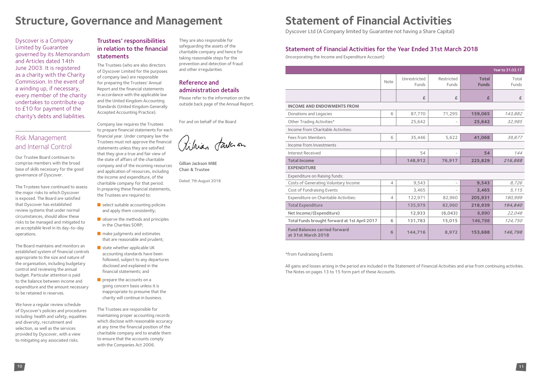Dyscover is a Company Limited by Guarantee governed by its Memorandum and Articles dated 14th June 2003. It is registered as a charity with the Charity Commission. In the event of a winding up, if necessary, every member of the charity undertakes to contribute up to £10 for payment of the charity's debts and liabilities.

# Risk Management and Internal Control

Our Trustee Board continues to comprise members with the broad base of skills necessary for the good governance of Dyscover.

The Trustees have continued to assess the major risks to which Dyscover is exposed. The Board are satisfied that Dyscover has established review systems that under normal circumstances, should allow these risks to be managed and mitigated to an acceptable level in its day-to-day operations.

The Board maintains and monitors an established system of financial controls appropriate to the size and nature of the organisation, including budgetary control and reviewing the annual budget. Particular attention is paid to the balance between income and expenditure and the amount necessary to be retained in reserves.

We have a regular review schedule of Dyscover's policies and procedures including: health and safety, equalities and diversity, recruitment and selection, as well as the services provided by Dyscover, with a view to mitigating any associated risks.

- $\blacksquare$  select suitable accounting policies and apply them consistently;
- $\blacksquare$  observe the methods and principles in the Charities SORP;
- $\blacksquare$  make judgments and estimates that are reasonable and prudent;
- $\blacksquare$  state whether applicable UK accounting standards have been followed, subject to any departures disclosed and explained in the financial statements; and
- $\blacksquare$  prepare the accounts on a going concern basis unless it is inappropriate to presume that the charity will continue in business.

# Trustees' responsibilities in relation to the financial statements

The Trustees (who are also directors of Dyscover Limited for the purposes of company law) are responsible for preparing the Trustees' Annual Report and the financial statements in accordance with the applicable law and the United Kingdom Accounting Standards (United Kingdom Generally Accepted Accounting Practice).

Company law requires the Trustees to prepare financial statements for each financial year. Under company law the Trustees must not approve the financial statements unless they are satisfied that they give a true and fair view of the state of affairs of the charitable company and of the incoming resources and application of resources, including the income and expenditure, of the charitable company for that period. ln preparing these financial statements, the Trustees are required to:

The Trustees are responsible for maintaining proper accounting records which disclose with reasonable accuracy at any time the financial position of the charitable company and to enable them to ensure that the accounts comply with the Companies Act 2006.

They are also responsible for safeguarding the assets of the charitable company and hence for taking reasonable steps for the prevention and detection of fraud and other irregularities

# Reference and administration details

Please refer to the information on the outside back page of the Annual Report.

For and on behalf of the Board

Pikian Jardan

Gillian Jackson MBE Chair & Trustee

Dated: 7th August 2018

# **Structure, Governance and Management Statement of Financial Activities**

# Statement of Financial Activities for the Year Ended 31st March 2018

(Incorporating the Income and Expenditure Account)

|                                                            |                |                              |                          |                              | Year to 31.03.17 |
|------------------------------------------------------------|----------------|------------------------------|--------------------------|------------------------------|------------------|
|                                                            | Note           | Unrestricted<br><b>Funds</b> | Restricted<br>Funds      | <b>Total</b><br><b>Funds</b> | Total<br>Funds   |
|                                                            |                | £                            | £                        | £                            | £                |
| <b>INCOME AND ENDOWMENTS FROM</b>                          |                |                              |                          |                              |                  |
| Donations and Legacies                                     | 6              | 87,770                       | 71,295                   | 159,065                      | 143,882          |
| Other Trading Activities*                                  |                | 25,642                       |                          | 25,642                       | 32,985           |
| Income from Charitable Activities:                         |                |                              |                          |                              |                  |
| Fees from Members                                          | 6              | 35,446                       | 5,622                    | 41,068                       | 39,877           |
| Income from Investments                                    |                |                              |                          |                              |                  |
| Interest Received                                          |                | 54                           |                          | 54                           | 144              |
| <b>Total Income</b>                                        |                | 148,912                      | 76,917                   | 225,829                      | 216,888          |
| <b>EXPENDITURE</b>                                         |                |                              |                          |                              |                  |
| Expenditure on Raising funds:                              |                |                              |                          |                              |                  |
| Costs of Generating Voluntary Income                       | $\overline{4}$ | 9,543                        | $\overline{\phantom{a}}$ | 9,543                        | 8,726            |
| Cost of Fundraising Events                                 |                | 3,465                        |                          | 3,465                        | 5,115            |
| Expenditure on Charitable Activities:                      | 4              | 122,971                      | 82,960                   | 205,931                      | 180,999          |
| <b>Total Expenditure</b>                                   |                | 135,979                      | 82,960                   | 218,939                      | 194,840          |
| Net Income/(Expenditure)                                   |                | 12,933                       | (6,043)                  | 6,890                        | 22,048           |
| Total Funds brought forward at 1st April 2017              | 6              | 131,783                      | 15,015                   | 146,798                      | 124,750          |
| <b>Fund Balances carried forward</b><br>at 31st March 2018 | 6              | 144,716                      | 8,972                    | 153,688                      | 146,798          |

\*from Fundraising Events

All gains and losses arising in the period are included in the Statement of Financial Activities and arise from continuing activities. The Notes on pages 13 to 15 form part of these Accounts.

Dyscover Ltd (A Company limited by Guarantee not having a Share Capital)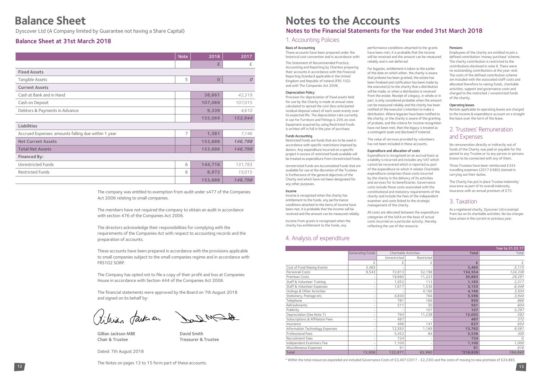Dyscover Ltd (A Company limited by Guarantee not having a Share Capital)

### 4. Analysis of expenditure

|                                             |                         |                              |                          |              | Year to 31.03.17 |
|---------------------------------------------|-------------------------|------------------------------|--------------------------|--------------|------------------|
|                                             | <b>Generating Funds</b> | <b>Charitable Activities</b> |                          | <b>Total</b> | Total            |
|                                             |                         | Unrestricted                 | Restricted               |              |                  |
|                                             | f                       |                              |                          |              | £                |
| Cost of Fund Raising Events                 | 3,465                   |                              |                          | 3,465        | 5,115            |
| Personnel Costs                             | 9,543                   | 72,813                       | 52,198                   | 134,554      | 124,338          |
| <b>Premises Costs</b>                       |                         | 19,660                       | 11,223                   | 30,883       | 29,291           |
| Staff & Volunteer Training                  |                         | 1,052                        | 113                      | 1,165        | 2,317            |
| Staff & Volunteer Expenses                  |                         | 1,617                        | 1,536                    | 3,153        | 6,449            |
| Outings & Other Activities                  |                         |                              | 4,166                    | 4,166        | 3,504            |
| Stationery, Postage etc.                    |                         | 4,830                        | 766                      | 5,596        | 3,944            |
| Telephone                                   |                         | 781                          | 169                      | 950          | 866              |
| Refreshments                                |                         | 511                          | 50                       | 561          | 604              |
| Publicity                                   |                         |                              | 107                      | 107          | 5,297            |
| Depreciation (See Note 1)                   |                         | 764                          | 11,238                   | 12,002       | 592              |
| <b>Subscriptions &amp; Affiliation Fees</b> |                         | 487                          | $\overline{\phantom{a}}$ | 487          | 372              |
| Insurance                                   |                         | 496                          | 141                      | 637          | 654              |
| Information Technology Expenses             |                         | 12,593                       | 1,169                    | 13,762       | 9,581            |
| <b>Professional Fees</b>                    |                         | 5,452                        | 84                       | 5,536        | 300              |
| <b>Recruitment Fees</b>                     |                         | 724                          |                          | 724          | $\Omega$         |
| Independent Examiners Fee                   |                         | 1,100                        | $\overline{\phantom{a}}$ | 1,100        | 1,000            |
| Miscellaneous Expenses                      |                         | 91                           |                          | 91           | 616              |
| <b>Total</b>                                | 13,008                  | 122,971                      | 82,960                   | *218,939     | 194,840          |

\* Within the total resources expended are included Governance Costs of £3,407 (2017 - £2,230) and the costs of moving to new premises of £24,865.

# Balance Sheet at 31st March 2018

12 *notices of pages to the comparer mediated and accessible*. The Notes on pages 13 to 15 form part of these accounts.

# **Balance Sheet**<br> **Balance Sheet Notes to the Accounts**<br> **Notes to the Financial Statements for the Year ended 31st March 2018**

|                                                     | <b>Note</b>    | 2018         | 2017           |
|-----------------------------------------------------|----------------|--------------|----------------|
|                                                     |                | £            | £              |
| <b>Fixed Assets</b>                                 |                |              |                |
| <b>Tangible Assets</b>                              | 5              | $\mathbf{O}$ | $\overline{O}$ |
| <b>Current Assets</b>                               |                |              |                |
| Cash at Bank and in Hand                            |                | 38,661       | 42,319         |
| Cash on Deposit                                     |                | 107,069      | 107,015        |
| Debtors & Payments in Advance                       |                | 9,339        | 4,610          |
|                                                     |                | 155,069      | 153,944        |
| <b>Liabilities</b>                                  |                |              |                |
| Accrued Expenses: amounts falling due within 1 year | $\overline{7}$ | 1,381        | 7,146          |
| <b>Net Current Assets</b>                           |                | 153,688      | 146,798        |
| <b>Total Net Assets</b>                             |                | 153,688      | 146,798        |
| <b>Financed By:</b>                                 |                |              |                |
| <b>Unrestricted Funds</b>                           | 6              | 144,716      | 131,783        |
| <b>Restricted Funds</b>                             | 6              | 8,972        | 15,015         |
|                                                     |                | 153,688      | 146,798        |

The company was entitled to exemption from audit under s477 of the Companies Act 2006 relating to small companies.

The members have not required the company to obtain an audit in accordance with section 476 of the Companies Act 2006.

The directors acknowledge their responsibilities for complying with the requirements of the Companies Act with respect to accounting records and the preparation of accounts.

These accounts have been prepared in accordance with the provisions applicable to small companies subject to the small companies regime and in accordance with FRS102 SORP.

The Company has opted not to file a copy of their profit and loss at Companies House in accordance with Section 444 of the Companies Act 2006.

The financial statements were approved by the Board on 7th August 2018 and signed on its behalf by:

Vilian faition Dand MS

Gillian Jackson MBE David Smith Chair & Trustee Treasurer & Trustee

Dated: 7th August 2018

### 1. Accounting Policies

#### Basis of Accounting

These accounts have been prepared under the historical cost convention and in accordance with:

The Statement of Recommended Practice; Accounting and Reporting by Charities preparing their accounts in accordance with the Financial Reporting Standard applicable in the United Kingdom and Republic of Ireland (FRS 102) and with The Companies Act 2006.

#### Depreciation Policy

Provision for depreciation of fixed assets held for use by the Charity is made at annual rates calculated to spread the cost (less anticipated residual disposal value) of each asset evenly over its expected life. The depreciation rate currently in use for Furniture and Fittings is 20% on cost. Equipment acquired by using Restricted Funds is written off in full in the year of purchase.

#### Funds Accounting

Restricted Funds are funds that are to be used in accordance with specific restrictions imposed by donors. Any expenditure incurred on a specific project in excess of restricted funds available will be treated as expenditure from Unrestricted Funds.

Unrestricted Funds are Accumulated Funds that are available for use at the discretion of the Trustees in furtherance of the general objectives of the Charity and which have not been designated for any other purposes.

#### Income

Income is recognised when the charity has entitlement to the funds, any performance conditions attached to the items of income have been met, it is probable that the income will be received and the amount can be measured reliably.

Income from grants is recognised when the charity has entitlement to the funds, any

performance conditions attached to the grants have been met, it is probable that the income will be received and the amount can be measured reliably and is not deferred.

For legacies, entitlement is taken as the earlier of the date on which either, the charity is aware that probate has been granted, the estate has been finalised and notification has been made by the executor(s) to the charity that a distribution will be made, or when a distribution is received from the estate. Receipt of a legacy, in whole or in part, is only considered probable when the amount can be measured reliably and the charity has been notified of the executor's intention to make a distribution. Where legacies have been notified to the charity, or the charity is aware of the granting of probate, and the criteria for income recognition have not been met, then the legacy is treated as a contingent asset and disclosed if material.

The value of services provided by volunteers has not been included in these accounts.

#### Expenditure and allocation of costs

Expenditure is recognised on an accrual basis as a liability is incurred and includes any VAT which cannot be recovered which is reported as part of the expenditure to which it relates Charitable expenditure comprises those costs incurred by the charity in the delivery of its activities and services for its beneficiaries. Governance costs include those costs associated with the constitutional and statutory requirements of the charity and include the fees of the independent examiner and costs linked to the strategic management of the charity.

All costs are allocated between the expenditure categories of the SoFA on the basis of actual costs incurred on a particular activity, thereby reflecting the use of the resource.

#### Pensions

Employees of the charity are entitled to join a defined contribution 'money purchase' scheme. The charity contribution is restricted to the contributions disclosed in note 9. There were no outstanding contributions at the year-end. The costs of the defined contribution scheme are included with the associated staff costs and allocated therefore to raising funds, charitable activities, support and governance costs and charged to the restricted / unrestricted funds of the charity.

#### Operating leases

Rentals applicable to operating leases are charged to the income & expenditure account on a straight line basis over the term of the lease.

## 2. Trustees' Remuneration and Expenses

No remuneration directly or indirectly out of funds of the Charity was paid or payable for the period to any Trustee or to any person or persons known to be connected with any of them.

Three Trustees have been reimbursed £343 travelling expenses (2017 £480) claimed in carrying out their duties.

The Charity has put in place Trustee Indemnity insurance as part of its overall indemnity insurance with an annual premium of £75.

## 3. Taxation

As a registered charity, Dyscover Ltd is exempt from tax on its charitable activities. No tax charges have arisen in the current or previous year.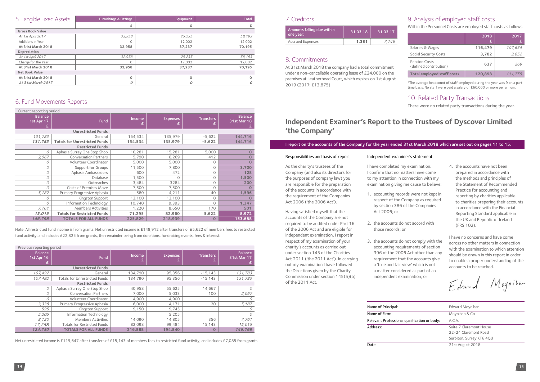| 5. Tangible Fixed Assets | <b>Furnishings &amp; Fittings</b> | Equipment | <b>Total</b> |
|--------------------------|-----------------------------------|-----------|--------------|
|                          | £                                 | £         |              |
| <b>Gross Book Value</b>  |                                   |           |              |
| At 1st April 2017        | 32,958                            | 25,235    | 58,193       |
| Additions in Year        | $\Omega$                          | 12,002    | 12,002       |
| At 31st March 2018       | 32,958                            | 37,237    | 70,195       |
| Depreciation             |                                   |           |              |
| At 1st April 2017        | 32,958                            | 25,235    | 58,193       |
| Charge for the Year      | $\Omega$                          | 12.002    | 12,002       |
| At 31st March 2018       | 32,958                            | 37.237    | 70,195       |
| <b>Net Book Value</b>    |                                   |           |              |
| At 31st March 2018       | $\circ$                           | $\Omega$  | $\mathbf 0$  |
| At 31st March 2017       | 0                                 | 0         | 0            |

## 7. Creditors

| Amounts falling due within<br>one year: | 31.03.18 | 31.03.17 |
|-----------------------------------------|----------|----------|
| <b>Accrued Expenses</b>                 | 1.381    | 7.146    |

# 8. Commitments

At 31st March 2018 the company had a total commitment under a non-cancellable operating lease of £24,000 on the premises at Leatherhead Court, which expires on 1st August 2019 (2017: £13,875)

# 9. Analysis of employed staff costs

Within the Personnel Costs are employed staff costs as follows:

|                                                | 2018<br>£ | 2017    |
|------------------------------------------------|-----------|---------|
| Salaries & Wages                               | 116,479   | 107,634 |
| <b>Social Security Costs</b>                   | 3,782     | 3,852   |
| <b>Pension Costs</b><br>(defined contribution) | 637       | 269     |
| <b>Total employed staff costs</b>              | 120,898   | 111,755 |

\*The average headcount of staff employed during the year was 9 on a part time basis. No staff were paid a salary of £60,000 or more per annum.

# 10. Related Party Transactions

There were no related party transactions during the year.<br>There were no related party transactions during the year.

| Current reporting period     |                                      |         |                 |                  |                               |
|------------------------------|--------------------------------------|---------|-----------------|------------------|-------------------------------|
| <b>Balance</b><br>1st Apr 17 | <b>Fund</b>                          | Income  | <b>Expenses</b> | <b>Transfers</b> | <b>Balance</b><br>31st Mar 18 |
|                              | <b>Unrestricted Funds</b>            |         |                 |                  |                               |
| 131,783                      | General                              | 154,534 | 135,979         | $-5,622$         | 144,716                       |
| 131,783                      | <b>Totals for Unrestricted Funds</b> | 154,534 | 135,979         | $-5,622$         | 144,716                       |
|                              | <b>Restricted Funds</b>              |         |                 |                  |                               |
| 0                            | Aphasia Surrey One Stop Shop         | 10,281  | 15,281          | 5,000            |                               |
| 2,067                        | <b>Conversation Partners</b>         | 5,790   | 8,269           | 412              |                               |
| 0                            | Volunteer Coordinator                | 5,000   | 5,000           | $\Omega$         |                               |
| 0                            | Support for Groups                   | 11,500  | 7,800           | $\Omega$         | 3,700                         |
| 0                            | Aphasia Ambassadors                  | 600     | 472             | 0                | 128                           |
| 0                            | Database                             | 1,500   | $\Omega$        | $\circ$          | 1,500                         |
| O                            | Outreaches                           | 3,484   | 3284            | 0                | 200                           |
| 0                            | <b>Costs of Premises Move</b>        | 7,500   | 7,500           | $\Omega$         |                               |
| 5,187                        | Primary Progressive Aphasia          | 580     | 4,211           | 40               | 1,596                         |
| 0                            | Kingston Support                     | 13,100  | 13,100          | 0                |                               |
| 0                            | Information Technology               | 10,740  | 9,393           | 0                | 1,347                         |
| 7,761                        | <b>Members Activities</b>            | 1,220   | 8,650           | 170              | 501                           |
| 15,015                       | <b>Totals for Restricted Funds</b>   | 71,295  | 82,960          | 5,622            | 8,972                         |
| 146,798                      | <b>TOTALS FOR ALL FUNDS</b>          | 225,829 | 218,939         | O                | 153,688                       |

Note: All restricted fund income is from grants. Net unrestricted income is £148,912 after transfers of £5,622 of members fees to restricted fund activity, and includes £22,825 from grants, the remainder being from donations, fundraising events, fees & interest.

| Previous reporting period         |                                      |             |                 |                       |                               |
|-----------------------------------|--------------------------------------|-------------|-----------------|-----------------------|-------------------------------|
| <b>Balance</b><br>1st Apr 16<br>£ | <b>Fund</b>                          | Income<br>£ | <b>Expenses</b> | <b>Transfers</b><br>£ | <b>Balance</b><br>31st Mar 17 |
|                                   | <b>Unrestricted Funds</b>            |             |                 |                       |                               |
| 107,492                           | General                              | 134,790     | 95,356          | $-15,143$             | 131,783                       |
| 107,492                           | <b>Totals for Unrestricted Funds</b> | 134.790     | 95,356          | $-15,143$             | 131,783                       |
|                                   | <b>Restricted Funds</b>              |             |                 |                       |                               |
| 0                                 | Aphasia Surrey One Stop Shop         | 40,958      | 55,625          | 14,667                | 0                             |
| 0                                 | <b>Conversation Partners</b>         | 7,000       | 5,033           | 100                   | 2,067                         |
| 0                                 | Volunteer Coordinator                | 4,900       | 4,900           |                       | 0                             |
| 3,338                             | Primary Progressive Aphasia          | 6,000       | 4,171           | 20                    | 5,187                         |
| 595                               | Kingston Support                     | 9,150       | 9,745           |                       | 0                             |
| 5,205                             | Information Technology               |             | 5,205           |                       | 0                             |
| 8,120                             | <b>Members Activities</b>            | 14,090      | 14,805          | 356                   | 7,761                         |
| 17,258                            | <b>Totals for Restricted Funds</b>   | 82,098      | 99,484          | 15,143                | 15,015                        |
| 124,750                           | <b>TOTALS FOR ALL FUNDS</b>          | 216,888     | 194,840         | $\mathbf 0$           | 146,798                       |

Net unrestricted income is £119,647 after transfers of £15,143 of members fees to restricted fund activity, and includes £7,085 from grants.

### I report on the accounts of the Company for the year ended 31st March 2018 which are set out on pages 11 to 15.

| Name of Principal:                           | Edward Moynihan                                                             |
|----------------------------------------------|-----------------------------------------------------------------------------|
| Name of Firm:                                | Moynihan & Co                                                               |
| Relevant Professional qualification or body: | A.C.A.                                                                      |
| Address:                                     | Suite 7 Claremont House<br>22-24 Claremont Road<br>Surbiton, Surrey KT6 4QU |
| Date:                                        | 21st August 2018                                                            |

# **Independent Examiner's Report to the Trustees of Dyscover Limited 'the Company'**

#### Responsibilities and basis of report

As the charity's trustees of the Company (and also its directors for the purposes of company law) you are responsible for the preparation of the accounts in accordance with the requirement of the Companies Act 2006 ('the 2006 Act').

Having satisfied myself that the accounts of the Company are not required to be audited under Part 16 of the 2006 Act and are eligible for independent examination, I report in respect of my examination of your charity's accounts as carried out under section 145 of the Charities Act 2011 ('the 2011 Act'). In carrying out my examination I have followed the Directions given by the Charity Commission under section 145(5)(b) of the 2011 Act.

#### Independent examiner's statement

I have completed my examination. I confirm that no matters have come to my attention in connection with my examination giving me cause to believe:

- 1. accounting records were not kept in respect of the Company as required by section 386 of the Companies Act 2006; or
- 2. the accounts do not accord with those records; or
- 3. the accounts do not comply with the accounting requirements of section 396 of the 2006 Act other than any requirement that the accounts give a 'true and fair view' which is not a matter considered as part of an independent examination; or

| Name of Principal:    |  |
|-----------------------|--|
| Name of Firm:         |  |
| Relevant Professional |  |
| Address:              |  |

- 
- 4. the accounts have not been prepared in accordance with the methods and principles of the Statement of Recommended Practice for accounting and reporting by charities applicable to charities preparing their accounts in accordance with the Financial Reporting Standard applicable in the UK and Republic of Ireland (FRS 102).

I have no concerns and have come across no other matters in connection with the examination to which attention should be drawn in this report in order to enable a proper understanding of the accounts to be reached.

Edward Mognition